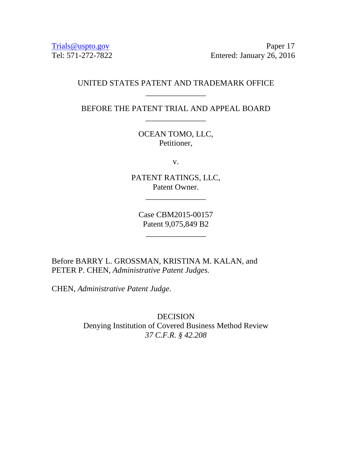Trials@uspto.gov<br>Tel: 571-272-7822 Feltered: January 26, 2016 Entered: January 26, 2016

# UNITED STATES PATENT AND TRADEMARK OFFICE \_\_\_\_\_\_\_\_\_\_\_\_\_\_\_

BEFORE THE PATENT TRIAL AND APPEAL BOARD \_\_\_\_\_\_\_\_\_\_\_\_\_\_\_

> OCEAN TOMO, LLC, Petitioner,

> > v.

PATENT RATINGS, LLC, Patent Owner.

\_\_\_\_\_\_\_\_\_\_\_\_\_\_\_

Case CBM2015-00157 Patent 9,075,849 B2

\_\_\_\_\_\_\_\_\_\_\_\_\_\_\_

Before BARRY L. GROSSMAN, KRISTINA M. KALAN, and PETER P. CHEN, *Administrative Patent Judges.* 

CHEN, *Administrative Patent Judge*.

DECISION Denying Institution of Covered Business Method Review *37 C.F.R. § 42.208*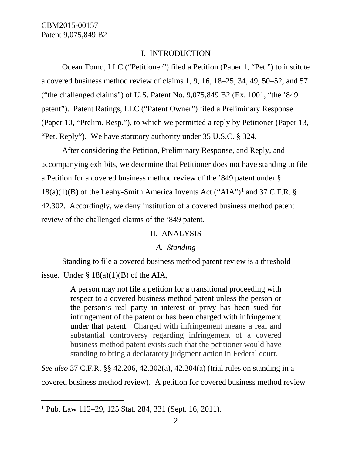#### I. INTRODUCTION

Ocean Tomo, LLC ("Petitioner") filed a Petition (Paper 1, "Pet.") to institute a covered business method review of claims 1, 9, 16, 18–25, 34, 49, 50–52, and 57 ("the challenged claims") of U.S. Patent No. 9,075,849 B2 (Ex. 1001, "the '849 patent"). Patent Ratings, LLC ("Patent Owner") filed a Preliminary Response (Paper 10, "Prelim. Resp."), to which we permitted a reply by Petitioner (Paper 13, "Pet. Reply"). We have statutory authority under 35 U.S.C. § 324.

After considering the Petition, Preliminary Response, and Reply, and accompanying exhibits, we determine that Petitioner does not have standing to file a Petition for a covered business method review of the '849 patent under §  $18(a)(1)(B)$  $18(a)(1)(B)$  of the Leahy-Smith America Invents Act ("AIA")<sup>1</sup> and 37 C.F.R. § 42.302. Accordingly, we deny institution of a covered business method patent review of the challenged claims of the '849 patent.

#### II. ANALYSIS

#### *A. Standing*

Standing to file a covered business method patent review is a threshold issue. Under  $\S 18(a)(1)(B)$  of the AIA,

> A person may not file a petition for a transitional proceeding with respect to a covered business method patent unless the person or the person's real party in interest or privy has been sued for infringement of the patent or has been charged with infringement under that patent. Charged with infringement means a real and substantial controversy regarding infringement of a covered business method patent exists such that the petitioner would have standing to bring a declaratory judgment action in Federal court.

*See also* 37 C.F.R. §§ 42.206, 42.302(a), 42.304(a) (trial rules on standing in a covered business method review). A petition for covered business method review

<span id="page-1-0"></span> <sup>1</sup> Pub. Law 112–29, 125 Stat. 284, 331 (Sept. 16, 2011).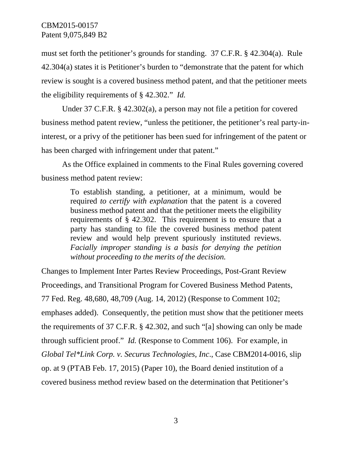must set forth the petitioner's grounds for standing. 37 C.F.R. § 42.304(a). Rule 42.304(a) states it is Petitioner's burden to "demonstrate that the patent for which review is sought is a covered business method patent, and that the petitioner meets the eligibility requirements of § 42.302." *Id.*

Under 37 C.F.R. § 42.302(a), a person may not file a petition for covered business method patent review, "unless the petitioner, the petitioner's real party-ininterest, or a privy of the petitioner has been sued for infringement of the patent or has been charged with infringement under that patent."

As the Office explained in comments to the Final Rules governing covered business method patent review:

> To establish standing, a petitioner, at a minimum, would be required *to certify with explanation* that the patent is a covered business method patent and that the petitioner meets the eligibility requirements of § 42.302. This requirement is to ensure that a party has standing to file the covered business method patent review and would help prevent spuriously instituted reviews. *Facially improper standing is a basis for denying the petition without proceeding to the merits of the decision.*

Changes to Implement Inter Partes Review Proceedings, Post-Grant Review Proceedings, and Transitional Program for Covered Business Method Patents, 77 Fed. Reg. 48,680, 48,709 (Aug. 14, 2012) (Response to Comment 102; emphases added). Consequently, the petition must show that the petitioner meets the requirements of 37 C.F.R. § 42.302, and such "[a] showing can only be made through sufficient proof." *Id.* (Response to Comment 106). For example, in *Global Tel\*Link Corp. v. Securus Technologies, Inc*., Case CBM2014-0016, slip op. at 9 (PTAB Feb. 17, 2015) (Paper 10), the Board denied institution of a covered business method review based on the determination that Petitioner's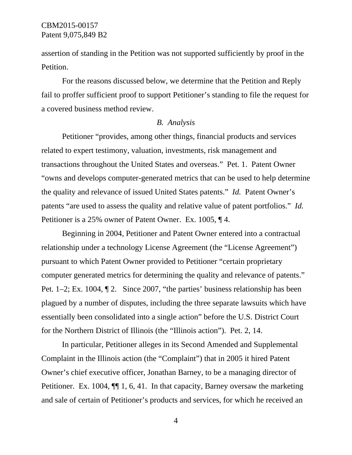assertion of standing in the Petition was not supported sufficiently by proof in the Petition.

For the reasons discussed below, we determine that the Petition and Reply fail to proffer sufficient proof to support Petitioner's standing to file the request for a covered business method review.

#### *B. Analysis*

Petitioner "provides, among other things, financial products and services related to expert testimony, valuation, investments, risk management and transactions throughout the United States and overseas." Pet. 1. Patent Owner "owns and develops computer-generated metrics that can be used to help determine the quality and relevance of issued United States patents." *Id.* Patent Owner's patents "are used to assess the quality and relative value of patent portfolios." *Id.*  Petitioner is a 25% owner of Patent Owner. Ex. 1005, ¶ 4.

Beginning in 2004, Petitioner and Patent Owner entered into a contractual relationship under a technology License Agreement (the "License Agreement") pursuant to which Patent Owner provided to Petitioner "certain proprietary computer generated metrics for determining the quality and relevance of patents." Pet. 1–2; Ex. 1004, ¶ 2. Since 2007, "the parties' business relationship has been plagued by a number of disputes, including the three separate lawsuits which have essentially been consolidated into a single action" before the U.S. District Court for the Northern District of Illinois (the "Illinois action"). Pet. 2, 14.

In particular, Petitioner alleges in its Second Amended and Supplemental Complaint in the Illinois action (the "Complaint") that in 2005 it hired Patent Owner's chief executive officer, Jonathan Barney, to be a managing director of Petitioner. Ex. 1004,  $\P$  1, 6, 41. In that capacity, Barney oversaw the marketing and sale of certain of Petitioner's products and services, for which he received an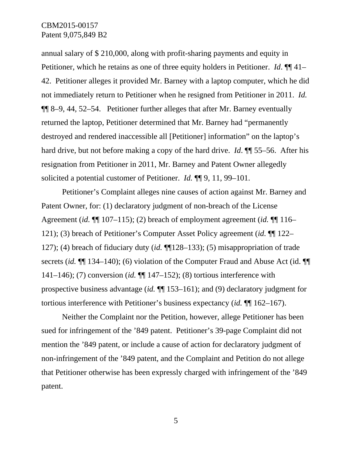annual salary of \$ 210,000, along with profit-sharing payments and equity in Petitioner, which he retains as one of three equity holders in Petitioner. *Id*. ¶¶ 41– 42. Petitioner alleges it provided Mr. Barney with a laptop computer, which he did not immediately return to Petitioner when he resigned from Petitioner in 2011. *Id.* ¶¶ 8–9, 44, 52–54. Petitioner further alleges that after Mr. Barney eventually returned the laptop, Petitioner determined that Mr. Barney had "permanently destroyed and rendered inaccessible all [Petitioner] information" on the laptop's hard drive, but not before making a copy of the hard drive. *Id*. ¶¶ 55–56. After his resignation from Petitioner in 2011, Mr. Barney and Patent Owner allegedly solicited a potential customer of Petitioner. *Id.* ¶¶ 9, 11, 99–101.

Petitioner's Complaint alleges nine causes of action against Mr. Barney and Patent Owner, for: (1) declaratory judgment of non-breach of the License Agreement (*id.* ¶¶ 107–115); (2) breach of employment agreement (*id.* ¶¶ 116– 121); (3) breach of Petitioner's Computer Asset Policy agreement (*id.* ¶¶ 122– 127); (4) breach of fiduciary duty (*id.* ¶¶128–133); (5) misappropriation of trade secrets (*id.* ¶¶ 134–140); (6) violation of the Computer Fraud and Abuse Act (id. ¶¶ 141–146); (7) conversion (*id.* ¶¶ 147–152); (8) tortious interference with prospective business advantage (*id.* ¶¶ 153–161); and (9) declaratory judgment for tortious interference with Petitioner's business expectancy (*id.* ¶¶ 162–167).

Neither the Complaint nor the Petition, however, allege Petitioner has been sued for infringement of the '849 patent. Petitioner's 39-page Complaint did not mention the '849 patent, or include a cause of action for declaratory judgment of non-infringement of the '849 patent, and the Complaint and Petition do not allege that Petitioner otherwise has been expressly charged with infringement of the '849 patent.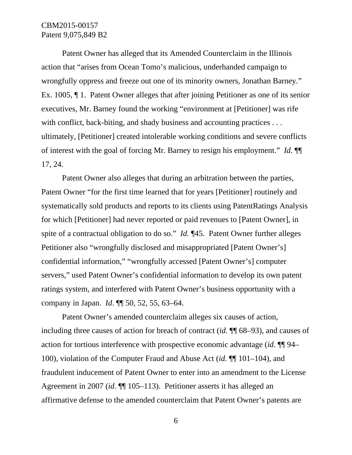Patent Owner has alleged that its Amended Counterclaim in the Illinois action that "arises from Ocean Tomo's malicious, underhanded campaign to wrongfully oppress and freeze out one of its minority owners, Jonathan Barney." Ex. 1005, ¶ 1. Patent Owner alleges that after joining Petitioner as one of its senior executives, Mr. Barney found the working "environment at [Petitioner] was rife with conflict, back-biting, and shady business and accounting practices ... ultimately, [Petitioner] created intolerable working conditions and severe conflicts of interest with the goal of forcing Mr. Barney to resign his employment." *Id.* ¶¶ 17, 24.

Patent Owner also alleges that during an arbitration between the parties, Patent Owner "for the first time learned that for years [Petitioner] routinely and systematically sold products and reports to its clients using PatentRatings Analysis for which [Petitioner] had never reported or paid revenues to [Patent Owner], in spite of a contractual obligation to do so." *Id.* ¶45. Patent Owner further alleges Petitioner also "wrongfully disclosed and misappropriated [Patent Owner's] confidential information," "wrongfully accessed [Patent Owner's] computer servers," used Patent Owner's confidential information to develop its own patent ratings system, and interfered with Patent Owner's business opportunity with a company in Japan. *Id*. ¶¶ 50, 52, 55, 63–64.

Patent Owner's amended counterclaim alleges six causes of action, including three causes of action for breach of contract (*id.* ¶¶ 68–93), and causes of action for tortious interference with prospective economic advantage (*id.* ¶¶ 94– 100), violation of the Computer Fraud and Abuse Act (*id.* ¶¶ 101–104), and fraudulent inducement of Patent Owner to enter into an amendment to the License Agreement in 2007 (*id*. ¶¶ 105–113). Petitioner asserts it has alleged an affirmative defense to the amended counterclaim that Patent Owner's patents are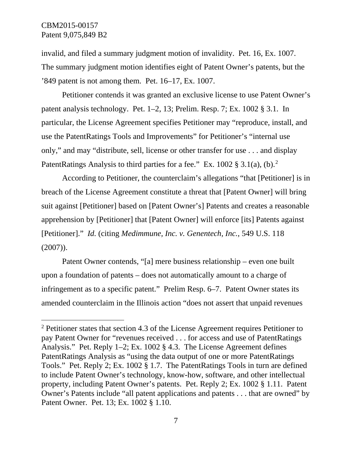invalid, and filed a summary judgment motion of invalidity. Pet. 16, Ex. 1007. The summary judgment motion identifies eight of Patent Owner's patents, but the '849 patent is not among them. Pet. 16–17, Ex. 1007.

Petitioner contends it was granted an exclusive license to use Patent Owner's patent analysis technology. Pet. 1–2, 13; Prelim. Resp. 7; Ex. 1002 § 3.1. In particular, the License Agreement specifies Petitioner may "reproduce, install, and use the PatentRatings Tools and Improvements" for Petitioner's "internal use only," and may "distribute, sell, license or other transfer for use . . . and display PatentRatings Analysis to third parties for a fee." Ex. 100[2](#page-6-0)  $\S 3.1(a)$ , (b).<sup>2</sup>

According to Petitioner, the counterclaim's allegations "that [Petitioner] is in breach of the License Agreement constitute a threat that [Patent Owner] will bring suit against [Petitioner] based on [Patent Owner's] Patents and creates a reasonable apprehension by [Petitioner] that [Patent Owner] will enforce [its] Patents against [Petitioner]." *Id.* (citing *Medimmune, Inc. v. Genentech, Inc.*, 549 U.S. 118  $(2007)$ ).

Patent Owner contends, "[a] mere business relationship – even one built upon a foundation of patents – does not automatically amount to a charge of infringement as to a specific patent." Prelim Resp. 6–7. Patent Owner states its amended counterclaim in the Illinois action "does not assert that unpaid revenues

<span id="page-6-0"></span> <sup>2</sup> Petitioner states that section 4.3 of the License Agreement requires Petitioner to pay Patent Owner for "revenues received . . . for access and use of PatentRatings Analysis." Pet. Reply 1–2; Ex. 1002 § 4.3. The License Agreement defines PatentRatings Analysis as "using the data output of one or more PatentRatings Tools." Pet. Reply 2; Ex. 1002 § 1.7. The PatentRatings Tools in turn are defined to include Patent Owner's technology, know-how, software, and other intellectual property, including Patent Owner's patents. Pet. Reply 2; Ex. 1002 § 1.11. Patent Owner's Patents include "all patent applications and patents . . . that are owned" by Patent Owner. Pet. 13; Ex. 1002 § 1.10.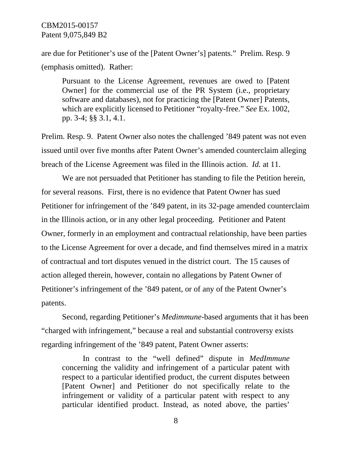are due for Petitioner's use of the [Patent Owner's] patents." Prelim. Resp. 9 (emphasis omitted). Rather:

Pursuant to the License Agreement, revenues are owed to [Patent Owner] for the commercial use of the PR System (i.e., proprietary software and databases), not for practicing the [Patent Owner] Patents, which are explicitly licensed to Petitioner "royalty-free." *See* Ex. 1002, pp. 3-4; §§ 3.1, 4.1.

Prelim. Resp. 9. Patent Owner also notes the challenged '849 patent was not even issued until over five months after Patent Owner's amended counterclaim alleging breach of the License Agreement was filed in the Illinois action. *Id.* at 11.

We are not persuaded that Petitioner has standing to file the Petition herein, for several reasons. First, there is no evidence that Patent Owner has sued Petitioner for infringement of the '849 patent, in its 32-page amended counterclaim in the Illinois action, or in any other legal proceeding. Petitioner and Patent Owner, formerly in an employment and contractual relationship, have been parties to the License Agreement for over a decade, and find themselves mired in a matrix of contractual and tort disputes venued in the district court. The 15 causes of action alleged therein, however, contain no allegations by Patent Owner of Petitioner's infringement of the '849 patent, or of any of the Patent Owner's patents.

Second, regarding Petitioner's *Medimmune-*based arguments that it has been "charged with infringement," because a real and substantial controversy exists regarding infringement of the '849 patent, Patent Owner asserts:

In contrast to the "well defined" dispute in *MedImmune* concerning the validity and infringement of a particular patent with respect to a particular identified product, the current disputes between [Patent Owner] and Petitioner do not specifically relate to the infringement or validity of a particular patent with respect to any particular identified product. Instead, as noted above, the parties'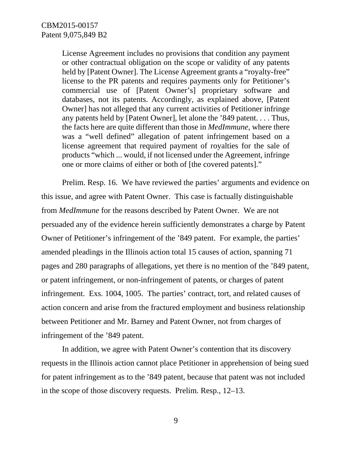License Agreement includes no provisions that condition any payment or other contractual obligation on the scope or validity of any patents held by [Patent Owner]. The License Agreement grants a "royalty-free" license to the PR patents and requires payments only for Petitioner's commercial use of [Patent Owner's] proprietary software and databases, not its patents. Accordingly, as explained above, [Patent Owner] has not alleged that any current activities of Petitioner infringe any patents held by [Patent Owner], let alone the '849 patent. . . . Thus, the facts here are quite different than those in *MedImmune*, where there was a "well defined" allegation of patent infringement based on a license agreement that required payment of royalties for the sale of products "which ... would, if not licensed under the Agreement, infringe one or more claims of either or both of [the covered patents]."

Prelim. Resp. 16. We have reviewed the parties' arguments and evidence on this issue, and agree with Patent Owner. This case is factually distinguishable from *MedImmune* for the reasons described by Patent Owner. We are not persuaded any of the evidence herein sufficiently demonstrates a charge by Patent Owner of Petitioner's infringement of the '849 patent. For example, the parties' amended pleadings in the Illinois action total 15 causes of action, spanning 71 pages and 280 paragraphs of allegations, yet there is no mention of the '849 patent, or patent infringement, or non-infringement of patents, or charges of patent infringement. Exs. 1004, 1005. The parties' contract, tort, and related causes of action concern and arise from the fractured employment and business relationship between Petitioner and Mr. Barney and Patent Owner, not from charges of infringement of the '849 patent.

In addition, we agree with Patent Owner's contention that its discovery requests in the Illinois action cannot place Petitioner in apprehension of being sued for patent infringement as to the '849 patent, because that patent was not included in the scope of those discovery requests. Prelim. Resp., 12–13.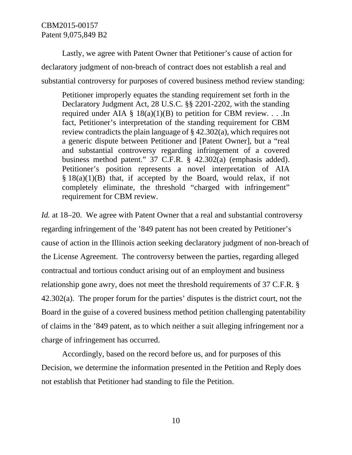Lastly, we agree with Patent Owner that Petitioner's cause of action for declaratory judgment of non-breach of contract does not establish a real and substantial controversy for purposes of covered business method review standing:

Petitioner improperly equates the standing requirement set forth in the Declaratory Judgment Act, 28 U.S.C. §§ 2201-2202, with the standing required under AIA §  $18(a)(1)(B)$  to petition for CBM review. . . .In fact, Petitioner's interpretation of the standing requirement for CBM review contradicts the plain language of § 42.302(a), which requires not a generic dispute between Petitioner and [Patent Owner], but a "real and substantial controversy regarding infringement of a covered business method patent." 37 C.F.R. § 42.302(a) (emphasis added). Petitioner's position represents a novel interpretation of AIA  $§ 18(a)(1)(B)$  that, if accepted by the Board, would relax, if not completely eliminate, the threshold "charged with infringement" requirement for CBM review.

*Id.* at 18–20. We agree with Patent Owner that a real and substantial controversy regarding infringement of the '849 patent has not been created by Petitioner's cause of action in the Illinois action seeking declaratory judgment of non-breach of the License Agreement. The controversy between the parties, regarding alleged contractual and tortious conduct arising out of an employment and business relationship gone awry, does not meet the threshold requirements of 37 C.F.R. § 42.302(a). The proper forum for the parties' disputes is the district court, not the Board in the guise of a covered business method petition challenging patentability of claims in the '849 patent, as to which neither a suit alleging infringement nor a charge of infringement has occurred.

Accordingly, based on the record before us, and for purposes of this Decision, we determine the information presented in the Petition and Reply does not establish that Petitioner had standing to file the Petition.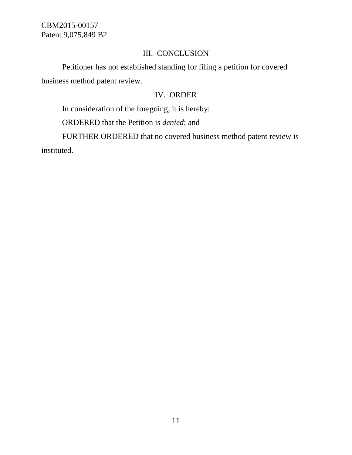# III. CONCLUSION

Petitioner has not established standing for filing a petition for covered business method patent review.

## IV. ORDER

In consideration of the foregoing, it is hereby:

ORDERED that the Petition is *denied*; and

FURTHER ORDERED that no covered business method patent review is instituted.